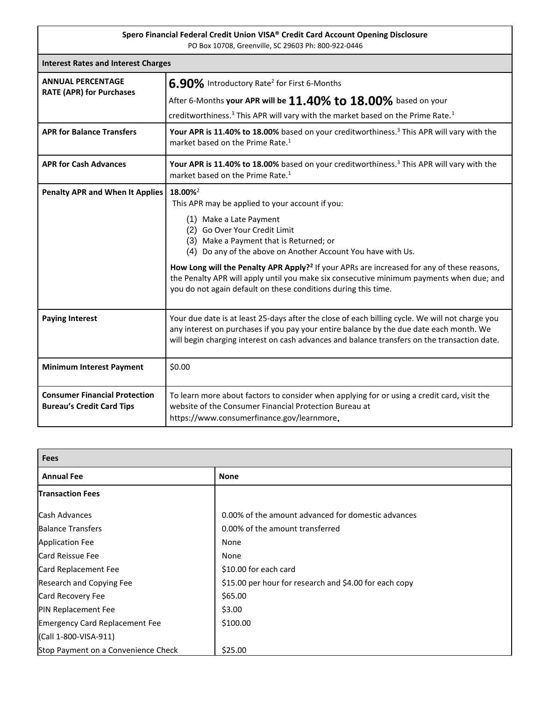| Spero Financial Federal Credit Union VISA® Credit Card Account Opening Disclosure<br>PO Box 10708, Greenville, SC 29603 Ph: 800-922-0446 |                                                                                                                                                                                                                                                                                                                                                                                                                                                                                                                       |  |
|------------------------------------------------------------------------------------------------------------------------------------------|-----------------------------------------------------------------------------------------------------------------------------------------------------------------------------------------------------------------------------------------------------------------------------------------------------------------------------------------------------------------------------------------------------------------------------------------------------------------------------------------------------------------------|--|
| <b>Interest Rates and Interest Charges</b>                                                                                               |                                                                                                                                                                                                                                                                                                                                                                                                                                                                                                                       |  |
| <b>ANNUAL PERCENTAGE</b><br><b>RATE (APR) for Purchases</b>                                                                              | 6.90% Introductory Rate <sup>2</sup> for First 6-Months<br>After 6-Months your APR will be $11.40\%$ to $18.00\%$ based on your<br>creditworthiness. <sup>3</sup> This APR will vary with the market based on the Prime Rate. <sup>1</sup>                                                                                                                                                                                                                                                                            |  |
| <b>APR for Balance Transfers</b>                                                                                                         | Your APR is 11.40% to 18.00% based on your creditworthiness. <sup>3</sup> This APR will vary with the<br>market based on the Prime Rate. <sup>1</sup>                                                                                                                                                                                                                                                                                                                                                                 |  |
| <b>APR for Cash Advances</b>                                                                                                             | Your APR is 11.40% to 18.00% based on your creditworthiness. <sup>3</sup> This APR will vary with the<br>market based on the Prime Rate. <sup>1</sup>                                                                                                                                                                                                                                                                                                                                                                 |  |
| <b>Penalty APR and When It Applies</b>                                                                                                   | 18.00% <sup>2</sup><br>This APR may be applied to your account if you:<br>(1) Make a Late Payment<br>(2) Go Over Your Credit Limit<br>(3) Make a Payment that is Returned; or<br>(4) Do any of the above on Another Account You have with Us.<br>How Long will the Penalty APR Apply? <sup>2</sup> If your APRs are increased for any of these reasons,<br>the Penalty APR will apply until you make six consecutive minimum payments when due; and<br>you do not again default on these conditions during this time. |  |
| <b>Paying Interest</b>                                                                                                                   | Your due date is at least 25-days after the close of each billing cycle. We will not charge you<br>any interest on purchases if you pay your entire balance by the due date each month. We<br>will begin charging interest on cash advances and balance transfers on the transaction date.                                                                                                                                                                                                                            |  |
| <b>Minimum Interest Payment</b>                                                                                                          | \$0.00                                                                                                                                                                                                                                                                                                                                                                                                                                                                                                                |  |
| <b>Consumer Financial Protection</b><br><b>Bureau's Credit Card Tips</b>                                                                 | To learn more about factors to consider when applying for or using a credit card, visit the<br>website of the Consumer Financial Protection Bureau at<br>https://www.consumerfinance.gov/learnmore.                                                                                                                                                                                                                                                                                                                   |  |

| <b>Fees</b>                           |                                                        |  |
|---------------------------------------|--------------------------------------------------------|--|
| <b>Annual Fee</b>                     | <b>None</b>                                            |  |
| <b>Transaction Fees</b>               |                                                        |  |
| <b>Cash Advances</b>                  | 0.00% of the amount advanced for domestic advances     |  |
| <b>Balance Transfers</b>              | 0.00% of the amount transferred                        |  |
| <b>Application Fee</b>                | None                                                   |  |
| Card Reissue Fee                      | None                                                   |  |
| Card Replacement Fee                  | \$10.00 for each card                                  |  |
| Research and Copying Fee              | \$15.00 per hour for research and \$4.00 for each copy |  |
| Card Recovery Fee                     | \$65.00                                                |  |
| <b>PIN Replacement Fee</b>            | \$3.00                                                 |  |
| <b>Emergency Card Replacement Fee</b> | \$100.00                                               |  |
| (Call 1-800-VISA-911)                 |                                                        |  |
| Stop Payment on a Convenience Check   | \$25.00                                                |  |